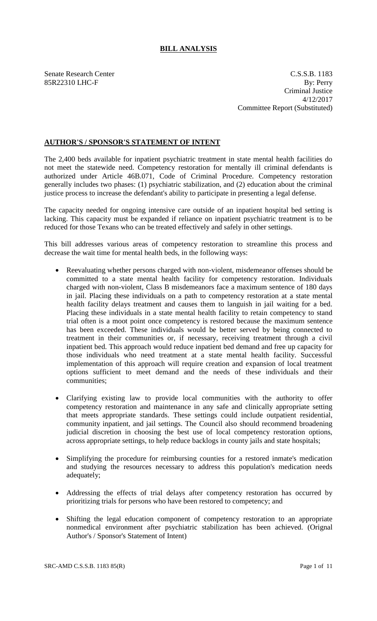## **BILL ANALYSIS**

Senate Research Center C.S.S.B. 1183 85R22310 LHC-F By: Perry Criminal Justice 4/12/2017 Committee Report (Substituted)

## **AUTHOR'S / SPONSOR'S STATEMENT OF INTENT**

The 2,400 beds available for inpatient psychiatric treatment in state mental health facilities do not meet the statewide need. Competency restoration for mentally ill criminal defendants is authorized under Article 46B.071, Code of Criminal Procedure. Competency restoration generally includes two phases: (1) psychiatric stabilization, and (2) education about the criminal justice process to increase the defendant's ability to participate in presenting a legal defense.

The capacity needed for ongoing intensive care outside of an inpatient hospital bed setting is lacking. This capacity must be expanded if reliance on inpatient psychiatric treatment is to be reduced for those Texans who can be treated effectively and safely in other settings.

This bill addresses various areas of competency restoration to streamline this process and decrease the wait time for mental health beds, in the following ways:

- Reevaluating whether persons charged with non-violent, misdemeanor offenses should be committed to a state mental health facility for competency restoration. Individuals charged with non-violent, Class B misdemeanors face a maximum sentence of 180 days in jail. Placing these individuals on a path to competency restoration at a state mental health facility delays treatment and causes them to languish in jail waiting for a bed. Placing these individuals in a state mental health facility to retain competency to stand trial often is a moot point once competency is restored because the maximum sentence has been exceeded. These individuals would be better served by being connected to treatment in their communities or, if necessary, receiving treatment through a civil inpatient bed. This approach would reduce inpatient bed demand and free up capacity for those individuals who need treatment at a state mental health facility. Successful implementation of this approach will require creation and expansion of local treatment options sufficient to meet demand and the needs of these individuals and their communities;
- Clarifying existing law to provide local communities with the authority to offer competency restoration and maintenance in any safe and clinically appropriate setting that meets appropriate standards. These settings could include outpatient residential, community inpatient, and jail settings. The Council also should recommend broadening judicial discretion in choosing the best use of local competency restoration options, across appropriate settings, to help reduce backlogs in county jails and state hospitals;
- Simplifying the procedure for reimbursing counties for a restored inmate's medication and studying the resources necessary to address this population's medication needs adequately;
- Addressing the effects of trial delays after competency restoration has occurred by prioritizing trials for persons who have been restored to competency; and
- Shifting the legal education component of competency restoration to an appropriate nonmedical environment after psychiatric stabilization has been achieved. (Orignal Author's / Sponsor's Statement of Intent)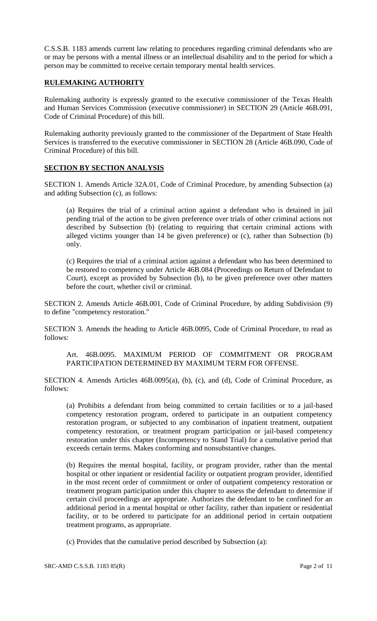C.S.S.B. 1183 amends current law relating to procedures regarding criminal defendants who are or may be persons with a mental illness or an intellectual disability and to the period for which a person may be committed to receive certain temporary mental health services.

## **RULEMAKING AUTHORITY**

Rulemaking authority is expressly granted to the executive commissioner of the Texas Health and Human Services Commission (executive commissioner) in SECTION 29 (Article 46B.091, Code of Criminal Procedure) of this bill.

Rulemaking authority previously granted to the commissioner of the Department of State Health Services is transferred to the executive commissioner in SECTION 28 (Article 46B.090, Code of Criminal Procedure) of this bill.

## **SECTION BY SECTION ANALYSIS**

SECTION 1. Amends Article 32A.01, Code of Criminal Procedure, by amending Subsection (a) and adding Subsection (c), as follows:

(a) Requires the trial of a criminal action against a defendant who is detained in jail pending trial of the action to be given preference over trials of other criminal actions not described by Subsection (b) (relating to requiring that certain criminal actions with alleged victims younger than 14 be given preference) or (c), rather than Subsection (b) only.

(c) Requires the trial of a criminal action against a defendant who has been determined to be restored to competency under Article 46B.084 (Proceedings on Return of Defendant to Court), except as provided by Subsection (b), to be given preference over other matters before the court, whether civil or criminal.

SECTION 2. Amends Article 46B.001, Code of Criminal Procedure, by adding Subdivision (9) to define "competency restoration."

SECTION 3. Amends the heading to Article 46B.0095, Code of Criminal Procedure, to read as follows:

Art. 46B.0095. MAXIMUM PERIOD OF COMMITMENT OR PROGRAM PARTICIPATION DETERMINED BY MAXIMUM TERM FOR OFFENSE.

SECTION 4. Amends Articles 46B.0095(a), (b), (c), and (d), Code of Criminal Procedure, as follows:

(a) Prohibits a defendant from being committed to certain facilities or to a jail-based competency restoration program, ordered to participate in an outpatient competency restoration program, or subjected to any combination of inpatient treatment, outpatient competency restoration, or treatment program participation or jail-based competency restoration under this chapter (Incompetency to Stand Trial) for a cumulative period that exceeds certain terms. Makes conforming and nonsubstantive changes.

(b) Requires the mental hospital, facility, or program provider, rather than the mental hospital or other inpatient or residential facility or outpatient program provider, identified in the most recent order of commitment or order of outpatient competency restoration or treatment program participation under this chapter to assess the defendant to determine if certain civil proceedings are appropriate. Authorizes the defendant to be confined for an additional period in a mental hospital or other facility, rather than inpatient or residential facility, or to be ordered to participate for an additional period in certain outpatient treatment programs, as appropriate.

(c) Provides that the cumulative period described by Subsection (a):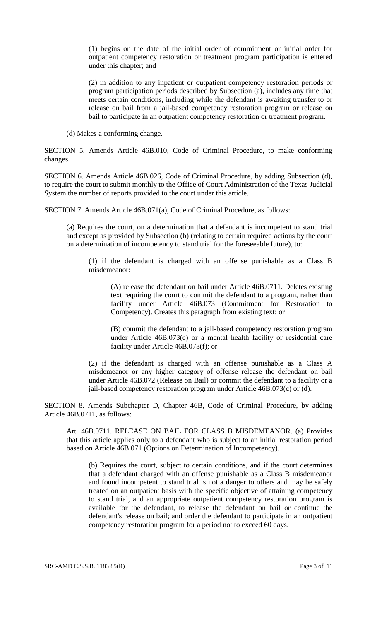(1) begins on the date of the initial order of commitment or initial order for outpatient competency restoration or treatment program participation is entered under this chapter; and

(2) in addition to any inpatient or outpatient competency restoration periods or program participation periods described by Subsection (a), includes any time that meets certain conditions, including while the defendant is awaiting transfer to or release on bail from a jail-based competency restoration program or release on bail to participate in an outpatient competency restoration or treatment program.

(d) Makes a conforming change.

SECTION 5. Amends Article 46B.010, Code of Criminal Procedure, to make conforming changes.

SECTION 6. Amends Article 46B.026, Code of Criminal Procedure, by adding Subsection (d), to require the court to submit monthly to the Office of Court Administration of the Texas Judicial System the number of reports provided to the court under this article.

SECTION 7. Amends Article 46B.071(a), Code of Criminal Procedure, as follows:

(a) Requires the court, on a determination that a defendant is incompetent to stand trial and except as provided by Subsection (b) (relating to certain required actions by the court on a determination of incompetency to stand trial for the foreseeable future), to:

(1) if the defendant is charged with an offense punishable as a Class B misdemeanor:

(A) release the defendant on bail under Article 46B.0711. Deletes existing text requiring the court to commit the defendant to a program, rather than facility under Article 46B.073 (Commitment for Restoration to Competency). Creates this paragraph from existing text; or

(B) commit the defendant to a jail-based competency restoration program under Article 46B.073(e) or a mental health facility or residential care facility under Article 46B.073(f); or

(2) if the defendant is charged with an offense punishable as a Class A misdemeanor or any higher category of offense release the defendant on bail under Article 46B.072 (Release on Bail) or commit the defendant to a facility or a jail-based competency restoration program under Article 46B.073(c) or (d).

SECTION 8. Amends Subchapter D, Chapter 46B, Code of Criminal Procedure, by adding Article 46B.0711, as follows:

Art. 46B.0711. RELEASE ON BAIL FOR CLASS B MISDEMEANOR. (a) Provides that this article applies only to a defendant who is subject to an initial restoration period based on Article 46B.071 (Options on Determination of Incompetency).

(b) Requires the court, subject to certain conditions, and if the court determines that a defendant charged with an offense punishable as a Class B misdemeanor and found incompetent to stand trial is not a danger to others and may be safely treated on an outpatient basis with the specific objective of attaining competency to stand trial, and an appropriate outpatient competency restoration program is available for the defendant, to release the defendant on bail or continue the defendant's release on bail; and order the defendant to participate in an outpatient competency restoration program for a period not to exceed 60 days.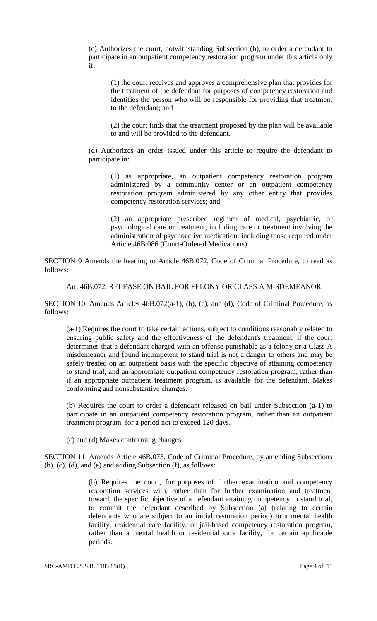(c) Authorizes the court, notwithstanding Subsection (b), to order a defendant to participate in an outpatient competency restoration program under this article only if:

(1) the court receives and approves a comprehensive plan that provides for the treatment of the defendant for purposes of competency restoration and identifies the person who will be responsible for providing that treatment to the defendant; and

(2) the court finds that the treatment proposed by the plan will be available to and will be provided to the defendant.

(d) Authorizes an order issued under this article to require the defendant to participate in:

(1) as appropriate, an outpatient competency restoration program administered by a community center or an outpatient competency restoration program administered by any other entity that provides competency restoration services; and

(2) an appropriate prescribed regimen of medical, psychiatric, or psychological care or treatment, including care or treatment involving the administration of psychoactive medication, including those required under Article 46B.086 (Court-Ordered Medications).

SECTION 9 Amends the heading to Article 46B.072, Code of Criminal Procedure, to read as follows:

Art. 46B.072. RELEASE ON BAIL FOR FELONY OR CLASS A MISDEMEANOR.

SECTION 10. Amends Articles 46B.072(a-1), (b), (c), and (d), Code of Criminal Procedure, as follows:

(a-1) Requires the court to take certain actions, subject to conditions reasonably related to ensuring public safety and the effectiveness of the defendant's treatment, if the court determines that a defendant charged with an offense punishable as a felony or a Class A misdemeanor and found incompetent to stand trial is not a danger to others and may be safely treated on an outpatient basis with the specific objective of attaining competency to stand trial, and an appropriate outpatient competency restoration program, rather than if an appropriate outpatient treatment program, is available for the defendant. Makes conforming and nonsubstantive changes.

(b) Requires the court to order a defendant released on bail under Subsection (a-1) to participate in an outpatient competency restoration program, rather than an outpatient treatment program, for a period not to exceed 120 days.

(c) and (d) Makes conforming changes.

SECTION 11. Amends Article 46B.073, Code of Criminal Procedure, by amending Subsections (b), (c), (d), and (e) and adding Subsection (f), as follows:

> (b) Requires the court, for purposes of further examination and competency restoration services with, rather than for further examination and treatment toward, the specific objective of a defendant attaining competency to stand trial, to commit the defendant described by Subsection (a) (relating to certain defendants who are subject to an initial restoration period) to a mental health facility, residential care facility, or jail-based competency restoration program, rather than a mental health or residential care facility, for certain applicable periods.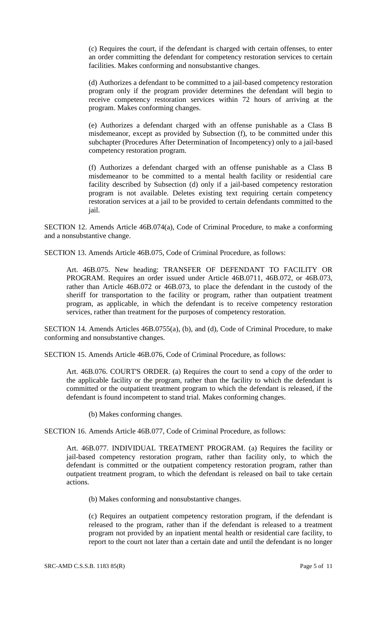(c) Requires the court, if the defendant is charged with certain offenses, to enter an order committing the defendant for competency restoration services to certain facilities. Makes conforming and nonsubstantive changes.

(d) Authorizes a defendant to be committed to a jail-based competency restoration program only if the program provider determines the defendant will begin to receive competency restoration services within 72 hours of arriving at the program. Makes conforming changes.

(e) Authorizes a defendant charged with an offense punishable as a Class B misdemeanor, except as provided by Subsection (f), to be committed under this subchapter (Procedures After Determination of Incompetency) only to a jail-based competency restoration program.

(f) Authorizes a defendant charged with an offense punishable as a Class B misdemeanor to be committed to a mental health facility or residential care facility described by Subsection (d) only if a jail-based competency restoration program is not available. Deletes existing text requiring certain competency restoration services at a jail to be provided to certain defendants committed to the jail.

SECTION 12. Amends Article 46B.074(a), Code of Criminal Procedure, to make a conforming and a nonsubstantive change.

SECTION 13. Amends Article 46B.075, Code of Criminal Procedure, as follows:

Art. 46B.075. New heading: TRANSFER OF DEFENDANT TO FACILITY OR PROGRAM. Requires an order issued under Article 46B.0711, 46B.072, or 46B.073, rather than Article 46B.072 or 46B.073, to place the defendant in the custody of the sheriff for transportation to the facility or program, rather than outpatient treatment program, as applicable, in which the defendant is to receive competency restoration services, rather than treatment for the purposes of competency restoration.

SECTION 14. Amends Articles 46B.0755(a), (b), and (d), Code of Criminal Procedure, to make conforming and nonsubstantive changes.

SECTION 15. Amends Article 46B.076, Code of Criminal Procedure, as follows:

Art. 46B.076. COURT'S ORDER. (a) Requires the court to send a copy of the order to the applicable facility or the program, rather than the facility to which the defendant is committed or the outpatient treatment program to which the defendant is released, if the defendant is found incompetent to stand trial. Makes conforming changes.

(b) Makes conforming changes.

SECTION 16. Amends Article 46B.077, Code of Criminal Procedure, as follows:

Art. 46B.077. INDIVIDUAL TREATMENT PROGRAM. (a) Requires the facility or jail-based competency restoration program, rather than facility only, to which the defendant is committed or the outpatient competency restoration program, rather than outpatient treatment program, to which the defendant is released on bail to take certain actions.

(b) Makes conforming and nonsubstantive changes.

(c) Requires an outpatient competency restoration program, if the defendant is released to the program, rather than if the defendant is released to a treatment program not provided by an inpatient mental health or residential care facility, to report to the court not later than a certain date and until the defendant is no longer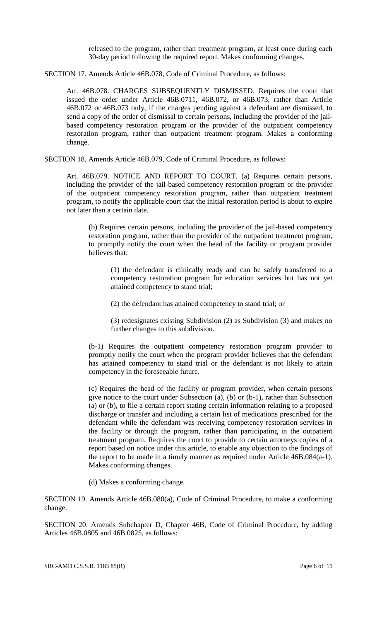released to the program, rather than treatment program, at least once during each 30-day period following the required report. Makes conforming changes.

SECTION 17. Amends Article 46B.078, Code of Criminal Procedure, as follows:

Art. 46B.078. CHARGES SUBSEQUENTLY DISMISSED. Requires the court that issued the order under Article 46B.0711, 46B.072, or 46B.073, rather than Article 46B.072 or 46B.073 only, if the charges pending against a defendant are dismissed, to send a copy of the order of dismissal to certain persons, including the provider of the jailbased competency restoration program or the provider of the outpatient competency restoration program, rather than outpatient treatment program. Makes a conforming change.

SECTION 18. Amends Article 46B.079, Code of Criminal Procedure, as follows:

Art. 46B.079. NOTICE AND REPORT TO COURT. (a) Requires certain persons, including the provider of the jail-based competency restoration program or the provider of the outpatient competency restoration program, rather than outpatient treatment program, to notify the applicable court that the initial restoration period is about to expire not later than a certain date.

(b) Requires certain persons, including the provider of the jail-based competency restoration program, rather than the provider of the outpatient treatment program, to promptly notify the court when the head of the facility or program provider believes that:

(1) the defendant is clinically ready and can be safely transferred to a competency restoration program for education services but has not yet attained competency to stand trial;

(2) the defendant has attained competency to stand trial; or

(3) redesignates existing Subdivision (2) as Subdivision (3) and makes no further changes to this subdivision.

(b-1) Requires the outpatient competency restoration program provider to promptly notify the court when the program provider believes that the defendant has attained competency to stand trial or the defendant is not likely to attain competency in the foreseeable future.

(c) Requires the head of the facility or program provider, when certain persons give notice to the court under Subsection (a), (b) or (b-1), rather than Subsection (a) or (b), to file a certain report stating certain information relating to a proposed discharge or transfer and including a certain list of medications prescribed for the defendant while the defendant was receiving competency restoration services in the facility or through the program, rather than participating in the outpatient treatment program. Requires the court to provide to certain attorneys copies of a report based on notice under this article, to enable any objection to the findings of the report to be made in a timely manner as required under Article 46B.084(a-1). Makes conforming changes.

(d) Makes a conforming change.

SECTION 19. Amends Article 46B.080(a), Code of Criminal Procedure, to make a conforming change.

SECTION 20. Amends Subchapter D, Chapter 46B, Code of Criminal Procedure, by adding Articles 46B.0805 and 46B.0825, as follows:

SRC-AMD C.S.S.B. 1183 85(R) Page 6 of 11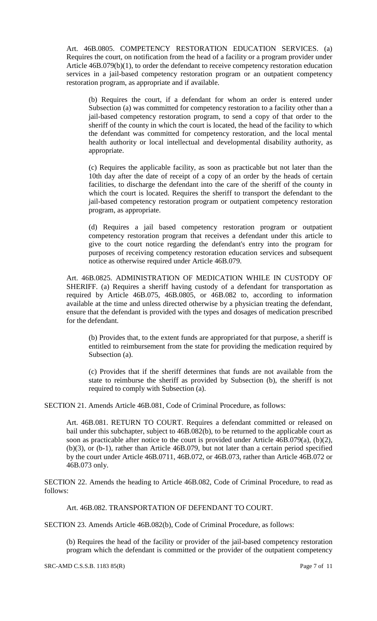Art. 46B.0805. COMPETENCY RESTORATION EDUCATION SERVICES. (a) Requires the court, on notification from the head of a facility or a program provider under Article 46B.079(b)(1), to order the defendant to receive competency restoration education services in a jail-based competency restoration program or an outpatient competency restoration program, as appropriate and if available.

(b) Requires the court, if a defendant for whom an order is entered under Subsection (a) was committed for competency restoration to a facility other than a jail-based competency restoration program, to send a copy of that order to the sheriff of the county in which the court is located, the head of the facility to which the defendant was committed for competency restoration, and the local mental health authority or local intellectual and developmental disability authority, as appropriate.

(c) Requires the applicable facility, as soon as practicable but not later than the 10th day after the date of receipt of a copy of an order by the heads of certain facilities, to discharge the defendant into the care of the sheriff of the county in which the court is located. Requires the sheriff to transport the defendant to the jail-based competency restoration program or outpatient competency restoration program, as appropriate.

(d) Requires a jail based competency restoration program or outpatient competency restoration program that receives a defendant under this article to give to the court notice regarding the defendant's entry into the program for purposes of receiving competency restoration education services and subsequent notice as otherwise required under Article 46B.079.

Art. 46B.0825. ADMINISTRATION OF MEDICATION WHILE IN CUSTODY OF SHERIFF. (a) Requires a sheriff having custody of a defendant for transportation as required by Article 46B.075, 46B.0805, or 46B.082 to, according to information available at the time and unless directed otherwise by a physician treating the defendant, ensure that the defendant is provided with the types and dosages of medication prescribed for the defendant.

(b) Provides that, to the extent funds are appropriated for that purpose, a sheriff is entitled to reimbursement from the state for providing the medication required by Subsection (a).

(c) Provides that if the sheriff determines that funds are not available from the state to reimburse the sheriff as provided by Subsection (b), the sheriff is not required to comply with Subsection (a).

SECTION 21. Amends Article 46B.081, Code of Criminal Procedure, as follows:

Art. 46B.081. RETURN TO COURT. Requires a defendant committed or released on bail under this subchapter, subject to 46B.082(b), to be returned to the applicable court as soon as practicable after notice to the court is provided under Article 46B.079(a), (b)(2), (b)(3), or (b-1), rather than Article 46B.079, but not later than a certain period specified by the court under Article 46B.0711, 46B.072, or 46B.073, rather than Article 46B.072 or 46B.073 only.

SECTION 22. Amends the heading to Article 46B.082, Code of Criminal Procedure, to read as follows:

Art. 46B.082. TRANSPORTATION OF DEFENDANT TO COURT.

SECTION 23. Amends Article 46B.082(b), Code of Criminal Procedure, as follows:

(b) Requires the head of the facility or provider of the jail-based competency restoration program which the defendant is committed or the provider of the outpatient competency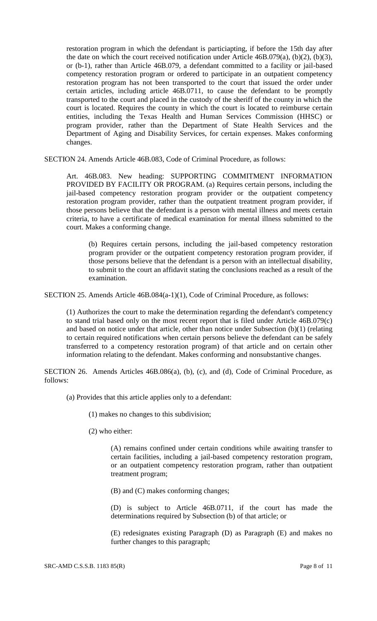restoration program in which the defendant is particiapting, if before the 15th day after the date on which the court received notification under Article 46B.079(a), (b)(2), (b)(3), or (b-1), rather than Article 46B.079, a defendant committed to a facility or jail-based competency restoration program or ordered to participate in an outpatient competency restoration program has not been transported to the court that issued the order under certain articles, including article 46B.0711, to cause the defendant to be promptly transported to the court and placed in the custody of the sheriff of the county in which the court is located. Requires the county in which the court is located to reimburse certain entities, including the Texas Health and Human Services Commission (HHSC) or program provider, rather than the Department of State Health Services and the Department of Aging and Disability Services, for certain expenses. Makes conforming changes.

SECTION 24. Amends Article 46B.083, Code of Criminal Procedure, as follows:

Art. 46B.083. New heading: SUPPORTING COMMITMENT INFORMATION PROVIDED BY FACILITY OR PROGRAM. (a) Requires certain persons, including the jail-based competency restoration program provider or the outpatient competency restoration program provider, rather than the outpatient treatment program provider, if those persons believe that the defendant is a person with mental illness and meets certain criteria, to have a certificate of medical examination for mental illness submitted to the court. Makes a conforming change.

(b) Requires certain persons, including the jail-based competency restoration program provider or the outpatient competency restoration program provider, if those persons believe that the defendant is a person with an intellectual disability, to submit to the court an affidavit stating the conclusions reached as a result of the examination.

SECTION 25. Amends Article 46B.084(a-1)(1), Code of Criminal Procedure, as follows:

(1) Authorizes the court to make the determination regarding the defendant's competency to stand trial based only on the most recent report that is filed under Article 46B.079(c) and based on notice under that article, other than notice under Subsection (b)(1) (relating to certain required notifications when certain persons believe the defendant can be safely transferred to a competency restoration program) of that article and on certain other information relating to the defendant. Makes conforming and nonsubstantive changes.

SECTION 26. Amends Articles 46B.086(a), (b), (c), and (d), Code of Criminal Procedure, as follows:

(a) Provides that this article applies only to a defendant:

(1) makes no changes to this subdivision;

(2) who either:

(A) remains confined under certain conditions while awaiting transfer to certain facilities, including a jail-based competency restoration program, or an outpatient competency restoration program, rather than outpatient treatment program;

(B) and (C) makes conforming changes;

(D) is subject to Article 46B.0711, if the court has made the determinations required by Subsection (b) of that article; or

(E) redesignates existing Paragraph (D) as Paragraph (E) and makes no further changes to this paragraph;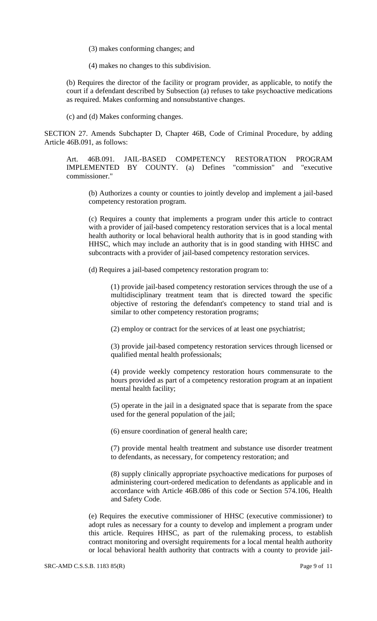(3) makes conforming changes; and

(4) makes no changes to this subdivision.

(b) Requires the director of the facility or program provider, as applicable, to notify the court if a defendant described by Subsection (a) refuses to take psychoactive medications as required. Makes conforming and nonsubstantive changes.

(c) and (d) Makes conforming changes.

SECTION 27. Amends Subchapter D, Chapter 46B, Code of Criminal Procedure, by adding Article 46B.091, as follows:

Art. 46B.091. JAIL-BASED COMPETENCY RESTORATION PROGRAM IMPLEMENTED BY COUNTY. (a) Defines "commission" and "executive commissioner."

(b) Authorizes a county or counties to jointly develop and implement a jail-based competency restoration program.

(c) Requires a county that implements a program under this article to contract with a provider of jail-based competency restoration services that is a local mental health authority or local behavioral health authority that is in good standing with HHSC, which may include an authority that is in good standing with HHSC and subcontracts with a provider of jail-based competency restoration services.

(d) Requires a jail-based competency restoration program to:

(1) provide jail-based competency restoration services through the use of a multidisciplinary treatment team that is directed toward the specific objective of restoring the defendant's competency to stand trial and is similar to other competency restoration programs;

(2) employ or contract for the services of at least one psychiatrist;

(3) provide jail-based competency restoration services through licensed or qualified mental health professionals;

(4) provide weekly competency restoration hours commensurate to the hours provided as part of a competency restoration program at an inpatient mental health facility;

(5) operate in the jail in a designated space that is separate from the space used for the general population of the jail;

(6) ensure coordination of general health care;

(7) provide mental health treatment and substance use disorder treatment to defendants, as necessary, for competency restoration; and

(8) supply clinically appropriate psychoactive medications for purposes of administering court-ordered medication to defendants as applicable and in accordance with Article 46B.086 of this code or Section 574.106, Health and Safety Code.

(e) Requires the executive commissioner of HHSC (executive commissioner) to adopt rules as necessary for a county to develop and implement a program under this article. Requires HHSC, as part of the rulemaking process, to establish contract monitoring and oversight requirements for a local mental health authority or local behavioral health authority that contracts with a county to provide jail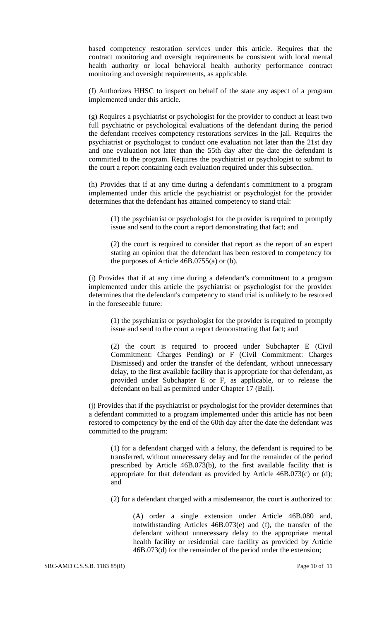based competency restoration services under this article. Requires that the contract monitoring and oversight requirements be consistent with local mental health authority or local behavioral health authority performance contract monitoring and oversight requirements, as applicable.

(f) Authorizes HHSC to inspect on behalf of the state any aspect of a program implemented under this article.

(g) Requires a psychiatrist or psychologist for the provider to conduct at least two full psychiatric or psychological evaluations of the defendant during the period the defendant receives competency restorations services in the jail. Requires the psychiatrist or psychologist to conduct one evaluation not later than the 21st day and one evaluation not later than the 55th day after the date the defendant is committed to the program. Requires the psychiatrist or psychologist to submit to the court a report containing each evaluation required under this subsection.

(h) Provides that if at any time during a defendant's commitment to a program implemented under this article the psychiatrist or psychologist for the provider determines that the defendant has attained competency to stand trial:

(1) the psychiatrist or psychologist for the provider is required to promptly issue and send to the court a report demonstrating that fact; and

(2) the court is required to consider that report as the report of an expert stating an opinion that the defendant has been restored to competency for the purposes of Article 46B.0755(a) or (b).

(i) Provides that if at any time during a defendant's commitment to a program implemented under this article the psychiatrist or psychologist for the provider determines that the defendant's competency to stand trial is unlikely to be restored in the foreseeable future:

(1) the psychiatrist or psychologist for the provider is required to promptly issue and send to the court a report demonstrating that fact; and

(2) the court is required to proceed under Subchapter E (Civil Commitment: Charges Pending) or F (Civil Commitment: Charges Dismissed) and order the transfer of the defendant, without unnecessary delay, to the first available facility that is appropriate for that defendant, as provided under Subchapter E or F, as applicable, or to release the defendant on bail as permitted under Chapter 17 (Bail).

(j) Provides that if the psychiatrist or psychologist for the provider determines that a defendant committed to a program implemented under this article has not been restored to competency by the end of the 60th day after the date the defendant was committed to the program:

(1) for a defendant charged with a felony, the defendant is required to be transferred, without unnecessary delay and for the remainder of the period prescribed by Article 46B.073(b), to the first available facility that is appropriate for that defendant as provided by Article 46B.073(c) or (d); and

(2) for a defendant charged with a misdemeanor, the court is authorized to:

(A) order a single extension under Article 46B.080 and, notwithstanding Articles 46B.073(e) and (f), the transfer of the defendant without unnecessary delay to the appropriate mental health facility or residential care facility as provided by Article 46B.073(d) for the remainder of the period under the extension;